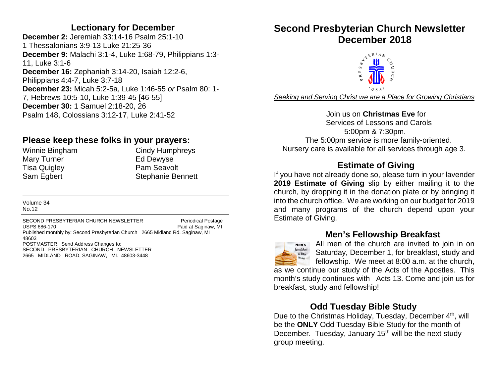#### **Lectionary for December**

**December 2:** Jeremiah 33:14-16 Psalm 25:1-10 1 Thessalonians 3:9-13 Luke 21:25-36 **December 9:** Malachi 3:1-4, Luke 1:68-79, Philippians 1:3- 11, Luke 3:1-6 **December 16:** Zephaniah 3:14-20, Isaiah 12:2-6, Philippians 4:4-7, Luke 3:7-18 **December 23:** Micah 5:2-5a, Luke 1:46-55 *or* Psalm 80: 1- 7, Hebrews 10:5-10, Luke 1:39-45 [46-55] **December 30:** 1 Samuel 2:18-20, 26 Psalm 148, Colossians 3:12-17, Luke 2:41-52

#### **Please keep these folks in your prayers:**

Mary Turner **Ed Dewyse** Tisa Quigley **Pam Seavolt** 

Winnie Bingham Cindy Humphreys Sam Egbert Stephanie Bennett

Volume 34 No.12

SECOND PRESBYTERIAN CHURCH NEWSLETTER Periodical Postage USPS 686-170 Paid at Saginaw, MI Published monthly by: Second Presbyterian Church 2665 Midland Rd. Saginaw, MI 48603 POSTMASTER: Send Address Changes to: SECOND PRESBYTERIAN CHURCH NEWSLETTER 2665 MIDLAND ROAD, SAGINAW, MI. 48603-3448

# **Second Presbyterian Church Newsletter**



*Seeking and Serving Christ we are a Place for Growing Christians*

 Join us on **Christmas Eve** for Services of Lessons and Carols 5:00pm & 7:30pm. The 5:00pm service is more family-oriented. Nursery care is available for all services through age 3.

#### **Estimate of Giving**

If you have not already done so, please turn in your lavender **2019 Estimate of Giving** slip by either mailing it to the church, by dropping it in the donation plate or by bringing it into the church office. We are working on our budget for 2019 and many programs of the church depend upon your Estimate of Giving.

#### **Men's Fellowship Breakfast**



All men of the church are invited to join in on Saturday, December 1, for breakfast, study and fellowship. We meet at 8:00 a.m. at the church,

as we continue our study of the Acts of the Apostles. This month's study continues with Acts 13. Come and join us for breakfast, study and fellowship!

#### **Odd Tuesday Bible Study**

Due to the Christmas Holiday, Tuesday, December 4<sup>th</sup>, will be the **ONLY** Odd Tuesday Bible Study for the month of December. Tuesday, January  $15<sup>th</sup>$  will be the next study group meeting.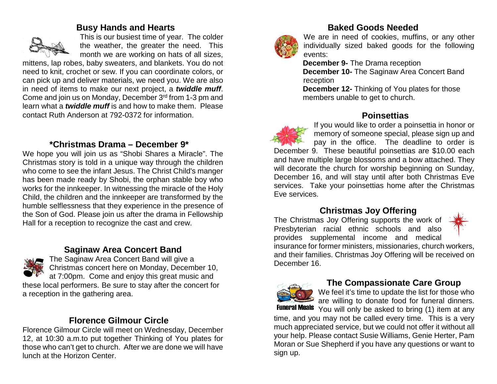#### **Busy Hands and Hearts**



This is our busiest time of year. The colder the weather, the greater the need. This month we are working on hats of all sizes,

mittens, lap robes, baby sweaters, and blankets. You do not need to knit, crochet or sew. If you can coordinate colors, or can pick up and deliver materials, we need you. We are also in need of items to make our next project, a *twiddle muff*. Come and join us on Monday, December 3rd from 1-3 pm and learn what a *twiddle muff* is and how to make them. Please contact Ruth Anderson at 792-0372 for information.

#### **\*Christmas Drama – December 9\***

We hope you will join us as "Shobi Shares a Miracle". The Christmas story is told in a unique way through the children who come to see the infant Jesus. The Christ Child's manger has been made ready by Shobi, the orphan stable boy who works for the innkeeper. In witnessing the miracle of the Holy Child, the children and the innkeeper are transformed by the humble selflessness that they experience in the presence of the Son of God. Please join us after the drama in Fellowship Hall for a reception to recognize the cast and crew.

#### **Saginaw Area Concert Band**



The Saginaw Area Concert Band will give a Christmas concert here on Monday, December 10, at 7:00pm. Come and enjoy this great music and these local performers. Be sure to stay after the concert for a reception in the gathering area.

#### **Florence Gilmour Circle**

Florence Gilmour Circle will meet on Wednesday, December 12, at 10:30 a.m.to put together Thinking of You plates for those who can't get to church. After we are done we will have lunch at the Horizon Center.



#### **Baked Goods Needed**

We are in need of cookies, muffins, or any other individually sized baked goods for the following events:

 **December 9-** The Drama reception  **December 10-** The Saginaw Area Concert Band reception

 **December 12-** Thinking of You plates for those members unable to get to church.

#### **Poinsettias**

If you would like to order a poinsettia in honor or memory of someone special, please sign up and pay in the office. The deadline to order is December 9. These beautiful poinsettias are \$10.00 each and have multiple large blossoms and a bow attached. They will decorate the church for worship beginning on Sunday, December 16, and will stay until after both Christmas Eve services. Take your poinsettias home after the Christmas Eve services.

#### **Christmas Joy Offering**

The Christmas Joy Offering supports the work of Presbyterian racial ethnic schools and also provides supplemental income and medical



insurance for former ministers, missionaries, church workers, and their families. Christmas Joy Offering will be received on December 16.



#### **The Compassionate Care Group**

We feel it's time to update the list for those who are willing to donate food for funeral dinners.

You will only be asked to bring (1) item at any time, and you may not be called every time. This is a very much appreciated service, but we could not offer it without all your help. Please contact Susie Williams, Genie Herter, Pam Moran or Sue Shepherd if you have any questions or want to sign up.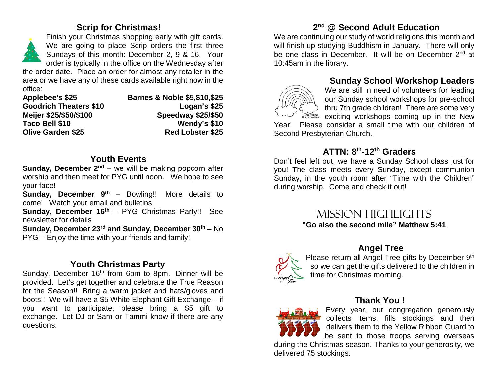#### **Scrip for Christmas!**



Finish your Christmas shopping early with gift cards. We are going to place Scrip orders the first three Sundays of this month: December 2, 9 & 16. Your order is typically in the office on the Wednesday after

the order date. Place an order for almost any retailer in the area or we have any of these cards available right now in the office:

| <b>Applebee's \$25</b>        | <b>Barnes &amp; Noble \$5,\$10,\$25</b> |
|-------------------------------|-----------------------------------------|
| <b>Goodrich Theaters \$10</b> | Logan's \$25                            |
| Meijer \$25/\$50/\$100        | Speedway \$25/\$50                      |
| Taco Bell \$10                | Wendy's \$10                            |
| <b>Olive Garden \$25</b>      | <b>Red Lobster \$25</b>                 |

#### **Youth Events**

**Sunday, December 2<sup>nd</sup>** – we will be making popcorn after worship and then meet for PYG until noon. We hope to see your face!

**Sunday, December 9<sup>th</sup>** – Bowling!! More details to come! Watch your email and bulletins

**Sunday, December 16<sup>th</sup>** – PYG Christmas Party!! See newsletter for details

**Sunday, December 23rd and Sunday, December 30th** – No PYG – Enjoy the time with your friends and family!

#### **Youth Christmas Party**

Sunday, December 16<sup>th</sup> from 6pm to 8pm. Dinner will be provided. Let's get together and celebrate the True Reason for the Season!! Bring a warm jacket and hats/gloves and boots!! We will have a \$5 White Elephant Gift Exchange – if you want to participate, please bring a \$5 gift to exchange. Let DJ or Sam or Tammi know if there are any questions.

#### **2nd @ Second Adult Education**

We are continuing our study of world religions this month and will finish up studying Buddhism in January. There will only be one class in December. It will be on December 2<sup>nd</sup> at 10:45am in the library.

#### **Sunday School Workshop Leaders**



We are still in need of volunteers for leading our Sunday school workshops for pre-school thru 7th grade children! There are some very  $\frac{c}{\text{mass}}$  exciting workshops coming up in the New

Year! Please consider a small time with our children of Second Presbyterian Church.

#### **ATTN: 8th-12th Graders**

Don't feel left out, we have a Sunday School class just for you! The class meets every Sunday, except communion Sunday, in the youth room after "Time with the Children" during worship. Come and check it out!

> Mission highlights **"Go also the second mile" Matthew 5:41**



#### **Angel Tree**

Please return all Angel Tree gifts by December 9th so we can get the gifts delivered to the children in time for Christmas morning.



### **Thank You !**

Every year, our congregation generously collects items, fills stockings and then delivers them to the Yellow Ribbon Guard to be sent to those troops serving overseas

during the Christmas season. Thanks to your generosity, we delivered 75 stockings.